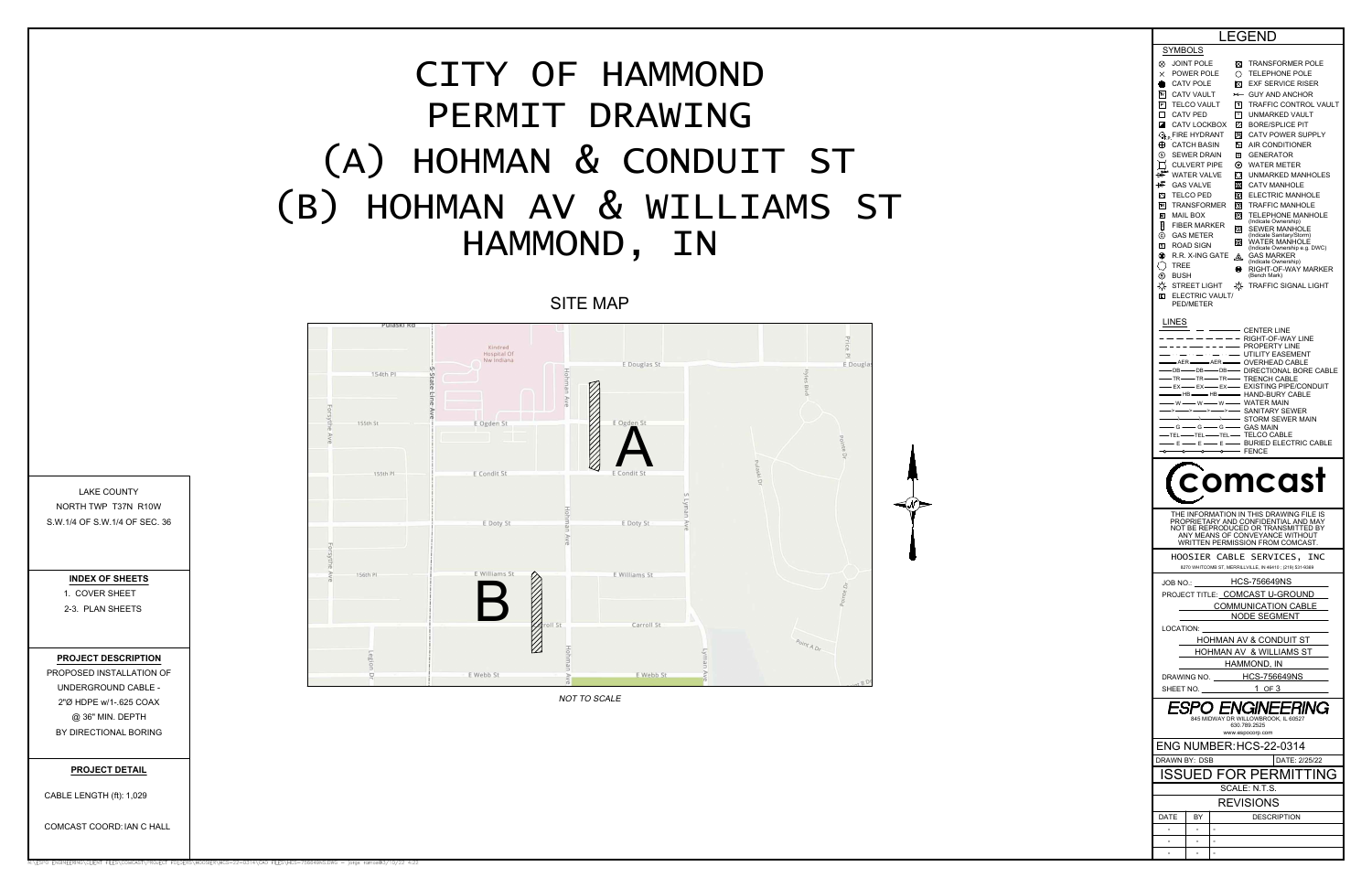| <b>LEGEND</b>                                                 |                                           |                      |                                                                                                                                                                                                                                         |  |
|---------------------------------------------------------------|-------------------------------------------|----------------------|-----------------------------------------------------------------------------------------------------------------------------------------------------------------------------------------------------------------------------------------|--|
| SYMBOLS                                                       |                                           |                      |                                                                                                                                                                                                                                         |  |
| ⊗<br>JOINT POLE                                               |                                           | ⊠                    | <b>TRANSFORMER POLE</b>                                                                                                                                                                                                                 |  |
| $\times$<br>POWER POLE                                        |                                           | Ο                    | <b>TELEPHONE POLE</b>                                                                                                                                                                                                                   |  |
| ۰<br><b>CATV POLE</b><br>$\overline{N}$<br><b>CATV VAULT</b>  |                                           | ⊠<br>$\star$         | <b>EXF SERVICE RISER</b><br><b>GUY AND ANCHOR</b>                                                                                                                                                                                       |  |
| $\boxed{\mathsf{P}}$<br>TELCO VAULT                           |                                           | $\lceil \tau \rceil$ | TRAFFIC CONTROL VAULT                                                                                                                                                                                                                   |  |
| □<br><b>CATV PED</b>                                          |                                           | $\sqrt{v}$           | UNMARKED VAULT                                                                                                                                                                                                                          |  |
| ◪                                                             | CATV LOCKBOX                              | Ø                    | <b>BORE/SPLICE PIT</b>                                                                                                                                                                                                                  |  |
| $\mathbb{Q}_{\mathrm{fp}}$ FIRE HYDRANT<br><b>CATCH BASIN</b> |                                           | 网                    | <b>CATV POWER SUPPLY</b><br><b>AIR CONDITIONER</b>                                                                                                                                                                                      |  |
| ⊕<br>⊚<br><b>SEWER DRAIN</b>                                  |                                           | Λc<br>回              | <b>GENERATOR</b>                                                                                                                                                                                                                        |  |
| <b>CULVERT PIPE</b>                                           |                                           | ⊚                    | WATER METER                                                                                                                                                                                                                             |  |
| beyon.<br>Bay<br><b>WATER VALVE</b>                           |                                           | O                    | UNMARKED MANHOLES                                                                                                                                                                                                                       |  |
| ₩<br><b>GAS VALVE</b>                                         |                                           | ⊛                    | <b>CATV MANHOLE</b>                                                                                                                                                                                                                     |  |
| Δ<br>TELCO PED<br>$\overline{\mathbf{R}}$                     | <b>TRANSFORMER</b>                        | O<br>⊙               | ELECTRIC MANHOLE<br><b>TRAFFIC MANHOLE</b>                                                                                                                                                                                              |  |
| 囸<br>MAIL BOX                                                 |                                           | O                    | <b>TELEPHONE MANHOLE</b>                                                                                                                                                                                                                |  |
| Ě                                                             | <b>FIBER MARKER</b>                       | ි                    | (Indicate Ownership)<br><b>SEWER MANHOLE</b>                                                                                                                                                                                            |  |
| ⊚<br><b>GAS METER</b>                                         |                                           | ⊚                    | (Indicate Sanitary/Storm)<br><b>WATER MANHOLE</b>                                                                                                                                                                                       |  |
| s<br>ROAD SIGN<br>۷                                           | R.R. X-ING GATE                           | ѩ                    | (Indicate Ownership e.g. DWC)<br>GAS MARKER                                                                                                                                                                                             |  |
| TREE                                                          |                                           | ◉                    | (Indicate Ownership)<br>RIGHT-OF-WAY MARKER                                                                                                                                                                                             |  |
| ⊕<br><b>BUSH</b>                                              |                                           |                      | (Bench Mark)                                                                                                                                                                                                                            |  |
| ☼<br>STREET LIGHT                                             |                                           | ₩                    | TRAFFIC SIGNAL LIGHT                                                                                                                                                                                                                    |  |
| 回<br>PED/METER                                                | ELECTRIC VAULT/                           |                      |                                                                                                                                                                                                                                         |  |
|                                                               |                                           |                      |                                                                                                                                                                                                                                         |  |
| LINES                                                         |                                           |                      | - CENTER LINE                                                                                                                                                                                                                           |  |
|                                                               |                                           |                      | RIGHT-OF-WAY LINE                                                                                                                                                                                                                       |  |
| $\sim$ $\sim$ $-$                                             | $\cdots$                                  |                      | PROPERTY LINE<br>UTILITY EASEMENT                                                                                                                                                                                                       |  |
| AER-<br>$-DB-$                                                | $\rightarrow$ AER $\rightarrow$<br>$-DB-$ |                      | - OVERHEAD CABLE<br>- DIRECTIONAL BORE CABLE                                                                                                                                                                                            |  |
|                                                               | -DB-                                      |                      | — TR—— TR—— TRENCH CABLE<br>— EX —— EX —— EXISTING PIPE/CONDUIT                                                                                                                                                                         |  |
|                                                               |                                           |                      |                                                                                                                                                                                                                                         |  |
|                                                               |                                           |                      | —— HB —— HB ——— HAND-BURY CABLE<br>— w —— w —— w —— WATER MAIN                                                                                                                                                                          |  |
|                                                               |                                           |                      |                                                                                                                                                                                                                                         |  |
|                                                               |                                           |                      |                                                                                                                                                                                                                                         |  |
|                                                               |                                           |                      |                                                                                                                                                                                                                                         |  |
|                                                               |                                           |                      |                                                                                                                                                                                                                                         |  |
| o-                                                            |                                           |                      | — w —— w —— w —— WATER MAIN<br>→ → → → → → → SANITARY SEWER<br>— G —— G —— G —— G —— GAS MAIN<br>— FEL —— TEL —— TEL —— TELCO CABLE<br>— E —— E —— E —— BURIED ELECTRIC CABLE<br>— C —— C —— BURIED ELECTRIC CABLE<br>— C —— O —— PENCE |  |
|                                                               |                                           |                      |                                                                                                                                                                                                                                         |  |
|                                                               |                                           |                      | comcast                                                                                                                                                                                                                                 |  |
|                                                               |                                           |                      |                                                                                                                                                                                                                                         |  |
|                                                               |                                           |                      | THE INFORMATION IN THIS DRAWING FILE IS<br>PROPRIETARY AND CONFIDENTIAL AND MAY                                                                                                                                                         |  |
|                                                               |                                           |                      | NOT BE REPRODUCED OR TRANSMITTED BY<br>ANY MEANS OF CONVEYANCE WITHOUT                                                                                                                                                                  |  |
|                                                               |                                           |                      | WRITTEN PERMISSION FROM COMCAST.                                                                                                                                                                                                        |  |
|                                                               |                                           |                      | HOOSIER CABLE SERVICES, INC                                                                                                                                                                                                             |  |
|                                                               |                                           |                      | 8270 WHITCOMB ST, MERRILLVILLE, IN 46410; (219) 531-9369                                                                                                                                                                                |  |
|                                                               |                                           |                      | JOB NO.: HCS-756649NS                                                                                                                                                                                                                   |  |
|                                                               |                                           |                      | PROJECT TITLE: COMCAST U-GROUND                                                                                                                                                                                                         |  |
|                                                               |                                           |                      | COMMUNICATION CABLE                                                                                                                                                                                                                     |  |
|                                                               |                                           |                      | NODE SEGMENT                                                                                                                                                                                                                            |  |
| LOCATION:                                                     |                                           |                      |                                                                                                                                                                                                                                         |  |
|                                                               |                                           |                      | <u>HOHMAN AV &amp; CONDUIT ST</u>                                                                                                                                                                                                       |  |
|                                                               |                                           |                      | HOHMAN AV & WILLIAMS ST                                                                                                                                                                                                                 |  |
|                                                               |                                           |                      | HAMMOND, IN                                                                                                                                                                                                                             |  |
|                                                               |                                           |                      | DRAWING NO. HCS-756649NS                                                                                                                                                                                                                |  |
|                                                               |                                           |                      |                                                                                                                                                                                                                                         |  |
|                                                               | ESPO ENGII                                |                      | <i>ERING</i><br>845 MIDWAY DR WILLOWBROOK, IL 60527<br>630.789.2525                                                                                                                                                                     |  |
|                                                               |                                           |                      | www.espocorp.com                                                                                                                                                                                                                        |  |
|                                                               |                                           |                      | ENG NUMBER: HCS-22-0314                                                                                                                                                                                                                 |  |
| DRAWN BY: DSB                                                 |                                           |                      | DATE: 2/25/22                                                                                                                                                                                                                           |  |
|                                                               |                                           |                      | ISSUED FOR PERMITTING                                                                                                                                                                                                                   |  |
|                                                               |                                           |                      | SCALE: N.T.S.                                                                                                                                                                                                                           |  |
|                                                               |                                           |                      | <b>REVISIONS</b>                                                                                                                                                                                                                        |  |
| DATE                                                          | BY                                        |                      | DESCRIPTION                                                                                                                                                                                                                             |  |
|                                                               |                                           |                      |                                                                                                                                                                                                                                         |  |
|                                                               |                                           |                      |                                                                                                                                                                                                                                         |  |

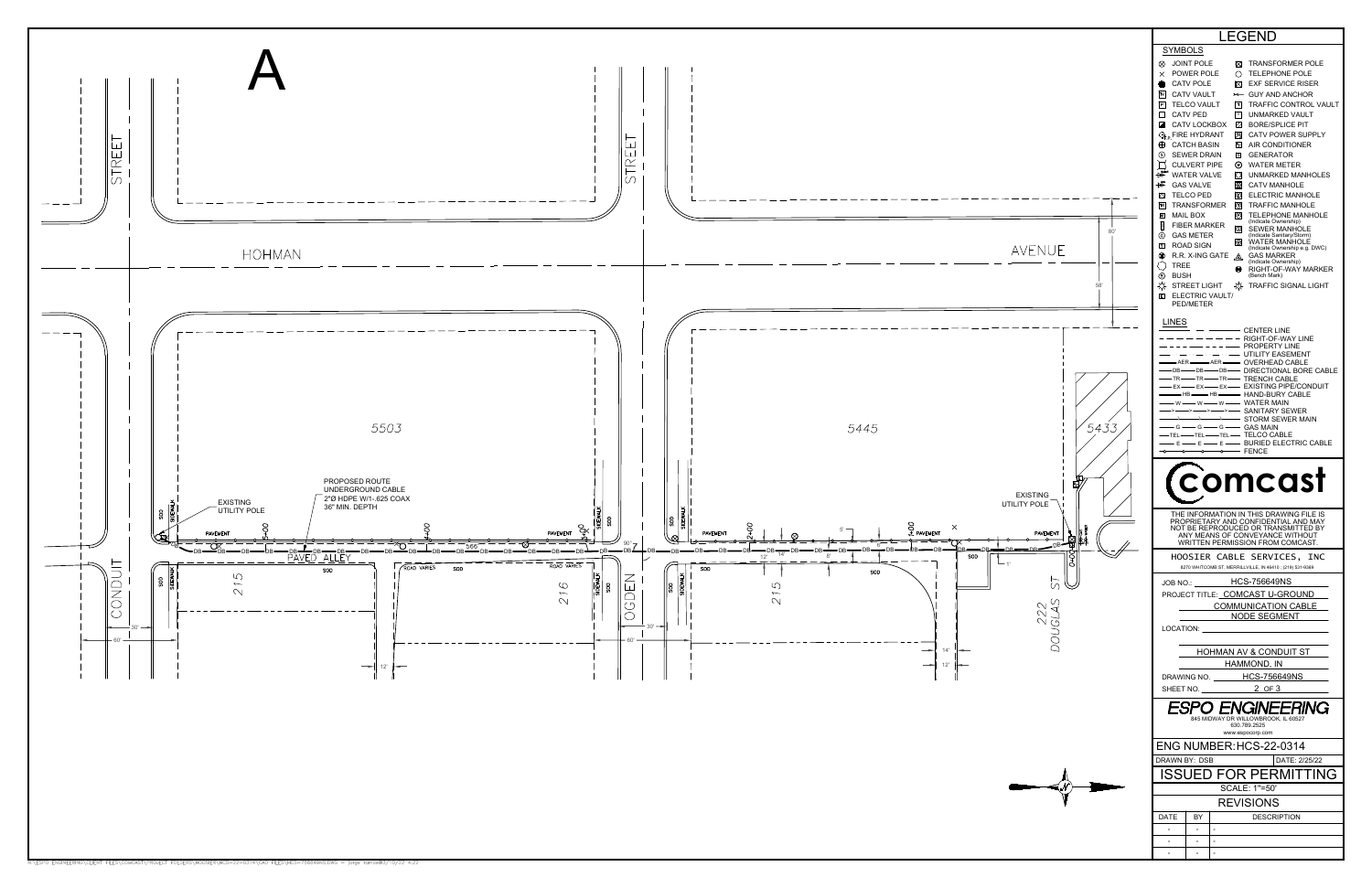